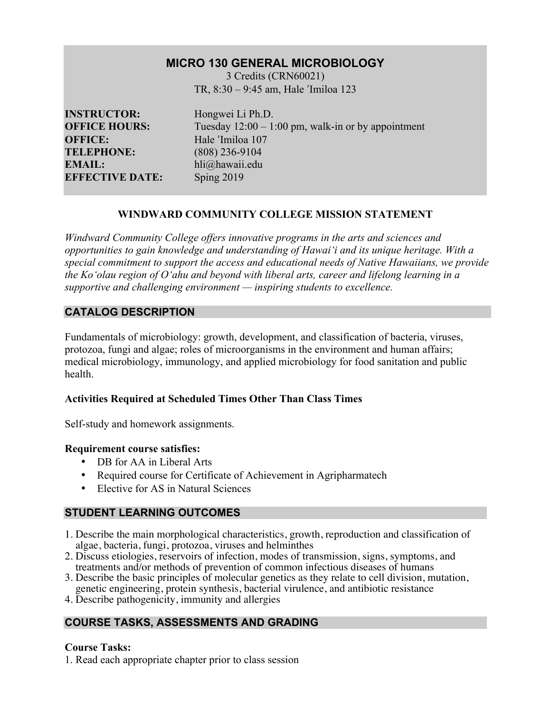# **MICRO 130 GENERAL MICROBIOLOGY**

3 Credits (CRN60021) TR, 8:30 – 9:45 am, Hale ʹImiloa 123

**INSTRUCTOR:** Hongwei Li Ph.D. **OFFICE:** Hale <sup>'Imiloa</sup> 107 **TELEPHONE:** (808) 236-9104 **EMAIL:** hli@hawaii.edu **EFFECTIVE DATE:** Sping 2019

**OFFICE HOURS:** Tuesday  $12:00 - 1:00$  pm, walk-in or by appointment

# **WINDWARD COMMUNITY COLLEGE MISSION STATEMENT**

*Windward Community College offers innovative programs in the arts and sciences and opportunities to gain knowledge and understanding of Hawai'i and its unique heritage. With a special commitment to support the access and educational needs of Native Hawaiians, we provide the Ko'olau region of Oʻahu and beyond with liberal arts, career and lifelong learning in a supportive and challenging environment — inspiring students to excellence.*

# **CATALOG DESCRIPTION**

Fundamentals of microbiology: growth, development, and classification of bacteria, viruses, protozoa, fungi and algae; roles of microorganisms in the environment and human affairs; medical microbiology, immunology, and applied microbiology for food sanitation and public health.

### **Activities Required at Scheduled Times Other Than Class Times**

Self-study and homework assignments.

### **Requirement course satisfies:**

- DB for AA in Liberal Arts
- Required course for Certificate of Achievement in Agripharmatech
- Elective for AS in Natural Sciences

# **STUDENT LEARNING OUTCOMES**

- 1. Describe the main morphological characteristics, growth, reproduction and classification of algae, bacteria, fungi, protozoa, viruses and helminthes
- 2. Discuss etiologies, reservoirs of infection, modes of transmission, signs, symptoms, and treatments and/or methods of prevention of common infectious diseases of humans
- 3. Describe the basic principles of molecular genetics as they relate to cell division, mutation, genetic engineering, protein synthesis, bacterial virulence, and antibiotic resistance
- 4. Describe pathogenicity, immunity and allergies

# **COURSE TASKS, ASSESSMENTS AND GRADING**

### **Course Tasks:**

1. Read each appropriate chapter prior to class session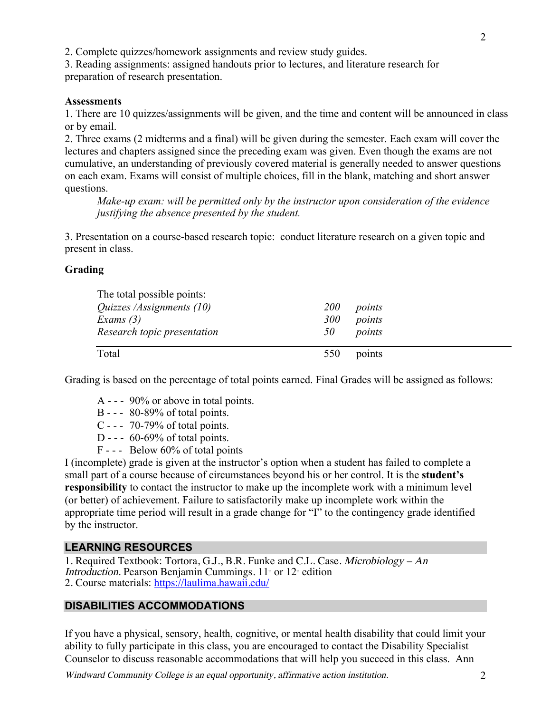2. Complete quizzes/homework assignments and review study guides.

3. Reading assignments: assigned handouts prior to lectures, and literature research for preparation of research presentation.

#### **Assessments**

1. There are 10 quizzes/assignments will be given, and the time and content will be announced in class or by email.

2. Three exams (2 midterms and a final) will be given during the semester. Each exam will cover the lectures and chapters assigned since the preceding exam was given. Even though the exams are not cumulative, an understanding of previously covered material is generally needed to answer questions on each exam. Exams will consist of multiple choices, fill in the blank, matching and short answer questions.

*Make-up exam: will be permitted only by the instructor upon consideration of the evidence justifying the absence presented by the student.*

3. Presentation on a course-based research topic: conduct literature research on a given topic and present in class.

### **Grading**

| The total possible points:       |            |        |
|----------------------------------|------------|--------|
| <i>Quizzes /Assignments (10)</i> | <i>200</i> | points |
| Exams $(3)$                      | 300        | points |
| Research topic presentation      | 50         | points |
| Total                            | 550        | points |

Grading is based on the percentage of total points earned. Final Grades will be assigned as follows:

- A - 90% or above in total points.
- B - 80-89% of total points.
- C - 70-79% of total points.
- D -  $60-69\%$  of total points.
- F - Below 60% of total points

I (incomplete) grade is given at the instructor's option when a student has failed to complete a small part of a course because of circumstances beyond his or her control. It is the **student's responsibility** to contact the instructor to make up the incomplete work with a minimum level (or better) of achievement. Failure to satisfactorily make up incomplete work within the appropriate time period will result in a grade change for "I" to the contingency grade identified by the instructor.

### **LEARNING RESOURCES**

1. Required Textbook: Tortora, G.J., B.R. Funke and C.L. Case. Microbiology – An Introduction. Pearson Benjamin Cummings.  $11<sup>th</sup>$  or  $12<sup>th</sup>$  edition 2. Course materials: https://laulima.hawaii.edu/

### **DISABILITIES ACCOMMODATIONS**

If you have a physical, sensory, health, cognitive, or mental health disability that could limit your ability to fully participate in this class, you are encouraged to contact the Disability Specialist Counselor to discuss reasonable accommodations that will help you succeed in this class. Ann

Windward Community College is an equal opportunity, affirmative action institution. 2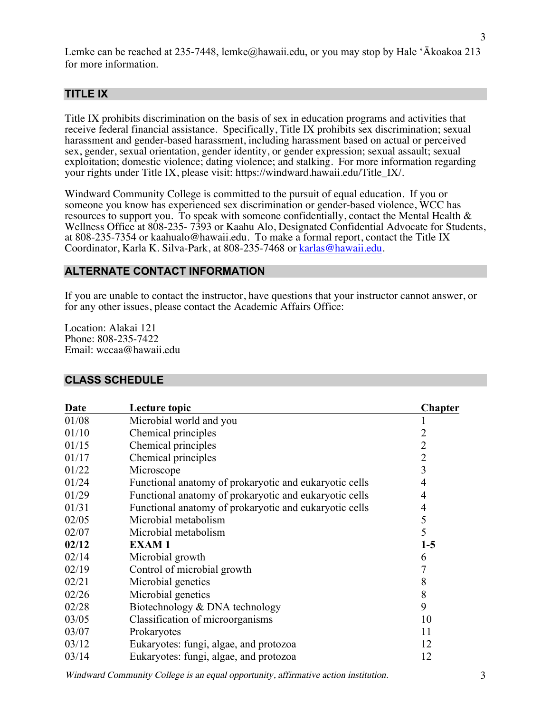Lemke can be reached at 235-7448, lemke@hawaii.edu, or you may stop by Hale 'Ākoakoa 213 for more information.

### **TITLE IX**

Title IX prohibits discrimination on the basis of sex in education programs and activities that receive federal financial assistance. Specifically, Title IX prohibits sex discrimination; sexual harassment and gender-based harassment, including harassment based on actual or perceived sex, gender, sexual orientation, gender identity, or gender expression; sexual assault; sexual exploitation; domestic violence; dating violence; and stalking. For more information regarding your rights under Title IX, please visit: https://windward.hawaii.edu/Title\_IX/.

Windward Community College is committed to the pursuit of equal education. If you or someone you know has experienced sex discrimination or gender-based violence, WCC has resources to support you. To speak with someone confidentially, contact the Mental Health  $\&$ Wellness Office at 808-235- 7393 or Kaahu Alo, Designated Confidential Advocate for Students, at 808-235-7354 or kaahualo@hawaii.edu. To make a formal report, contact the Title IX Coordinator, Karla K. Silva-Park, at 808-235-7468 or karlas@hawaii.edu.

#### **ALTERNATE CONTACT INFORMATION**

If you are unable to contact the instructor, have questions that your instructor cannot answer, or for any other issues, please contact the Academic Affairs Office:

Location: Alakai 121 Phone: 808-235-7422 Email: wccaa@hawaii.edu

#### **CLASS SCHEDULE**

| Date  | Lecture topic                                          | <b>Chapter</b> |
|-------|--------------------------------------------------------|----------------|
| 01/08 | Microbial world and you                                |                |
| 01/10 | Chemical principles                                    | 2              |
| 01/15 | Chemical principles                                    | $\overline{2}$ |
| 01/17 | Chemical principles                                    | $\overline{2}$ |
| 01/22 | Microscope                                             | 3              |
| 01/24 | Functional anatomy of prokaryotic and eukaryotic cells | 4              |
| 01/29 | Functional anatomy of prokaryotic and eukaryotic cells | 4              |
| 01/31 | Functional anatomy of prokaryotic and eukaryotic cells | $\overline{4}$ |
| 02/05 | Microbial metabolism                                   | 5              |
| 02/07 | Microbial metabolism                                   | 5              |
| 02/12 | <b>EXAM1</b>                                           | $1-5$          |
| 02/14 | Microbial growth                                       | 6              |
| 02/19 | Control of microbial growth                            | 7              |
| 02/21 | Microbial genetics                                     | 8              |
| 02/26 | Microbial genetics                                     | 8              |
| 02/28 | Biotechnology & DNA technology                         | 9              |
| 03/05 | Classification of microorganisms                       | 10             |
| 03/07 | Prokaryotes                                            | 11             |
| 03/12 | Eukaryotes: fungi, algae, and protozoa                 | 12             |
| 03/14 | Eukaryotes: fungi, algae, and protozoa                 | 12             |

Windward Community College is an equal opportunity, affirmative action institution. 3